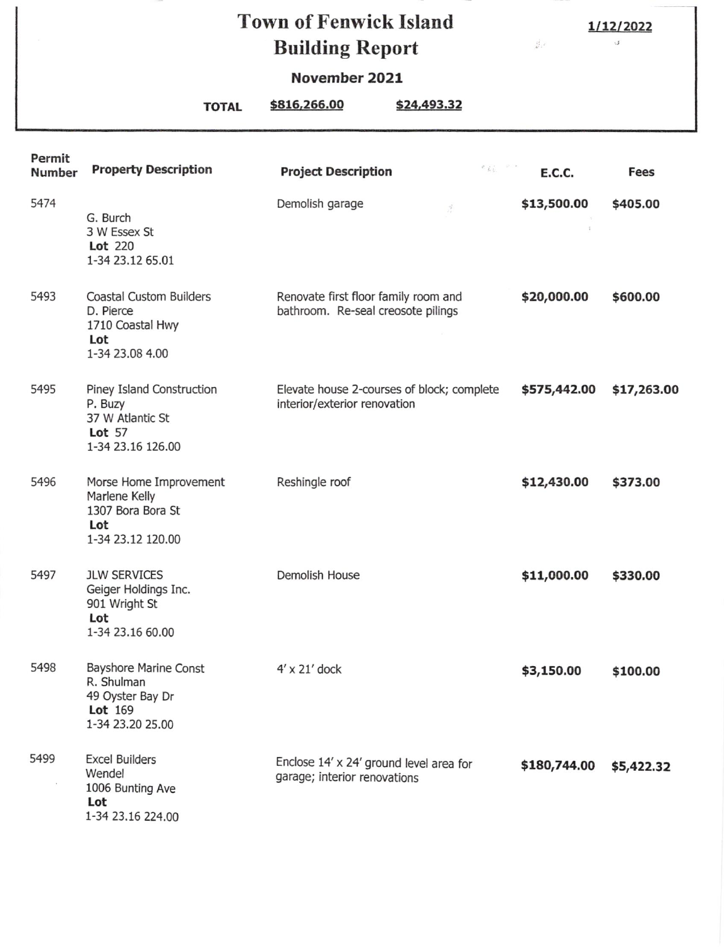## Town of Fenwick Island Building Report

1/12/2022  $\sigma_{\rm s}$ 

 $\frac{g^2_{\rm{eff}}}{\Delta^2}$  ,  $\epsilon$ 

## November 2021

TOTAL \$816,266.00 \$24,493.32

| Permit<br><b>Number</b> | <b>Property Description</b>                                                                          | <b>Project Description</b>                                                 | $\mathcal{O}(\frac{1}{K}\frac{1}{2})$ , $\mathcal{O}(\frac{1}{K})$ , | E.C.C.       | <b>Fees</b> |
|-------------------------|------------------------------------------------------------------------------------------------------|----------------------------------------------------------------------------|----------------------------------------------------------------------|--------------|-------------|
| 5474                    | G. Burch<br>3 W Essex St<br><b>Lot</b> 220<br>1-34 23.12 65.01                                       | Demolish garage<br>š                                                       |                                                                      | \$13,500.00  | \$405.00    |
| 5493                    | <b>Coastal Custom Builders</b><br>D. Pierce<br>1710 Coastal Hwy<br>Lot<br>1-34 23.08 4.00            | Renovate first floor family room and<br>bathroom. Re-seal creosote pilings |                                                                      | \$20,000.00  | \$600.00    |
| 5495                    | Piney Island Construction<br>P. Buzy<br>37 W Atlantic St<br><b>Lot</b> 57<br>1-34 23.16 126.00       | Elevate house 2-courses of block; complete<br>interior/exterior renovation |                                                                      | \$575,442.00 | \$17,263.00 |
| 5496                    | Morse Home Improvement<br>Marlene Kelly<br>1307 Bora Bora St<br>Lot<br>1-34 23.12 120.00             | Reshingle roof                                                             |                                                                      | \$12,430.00  | \$373.00    |
| 5497                    | <b>JLW SERVICES</b><br>Geiger Holdings Inc.<br>901 Wright St<br>Lot<br>1-34 23.16 60.00              | Demolish House                                                             |                                                                      | \$11,000.00  | \$330.00    |
| 5498                    | <b>Bayshore Marine Const</b><br>R. Shulman<br>49 Oyster Bay Dr<br><b>Lot</b> 169<br>1-34 23.20 25.00 | $4' \times 21'$ dock                                                       |                                                                      | \$3,150.00   | \$100.00    |
| 5499                    | <b>Excel Builders</b><br>Wendel<br>1006 Bunting Ave<br>Lot<br>1-34 23.16 224.00                      | Enclose 14' x 24' ground level area for<br>garage; interior renovations    |                                                                      | \$180,744.00 | \$5,422.32  |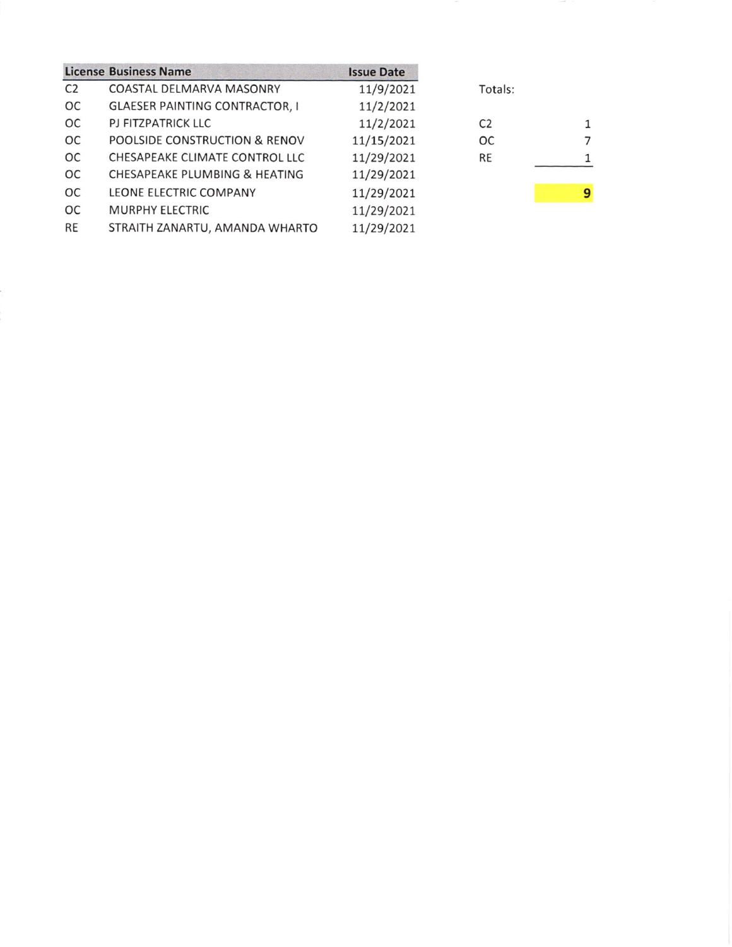|                | <b>License Business Name</b>          | <b>Issue Date</b> |                |   |
|----------------|---------------------------------------|-------------------|----------------|---|
| C <sub>2</sub> | COASTAL DELMARVA MASONRY              | 11/9/2021         | Totals:        |   |
| <b>OC</b>      | <b>GLAESER PAINTING CONTRACTOR, I</b> | 11/2/2021         |                |   |
| ОC             | PJ FITZPATRICK LLC                    | 11/2/2021         | C <sub>2</sub> |   |
| <b>OC</b>      | POOLSIDE CONSTRUCTION & RENOV         | 11/15/2021        | <b>OC</b>      |   |
| <b>OC</b>      | CHESAPEAKE CLIMATE CONTROL LLC        | 11/29/2021        | <b>RE</b>      |   |
| <b>OC</b>      | CHESAPEAKE PLUMBING & HEATING         | 11/29/2021        |                |   |
| <b>OC</b>      | LEONE ELECTRIC COMPANY                | 11/29/2021        |                | 9 |
| <b>OC</b>      | <b>MURPHY ELECTRIC</b>                | 11/29/2021        |                |   |
| RE             | STRAITH ZANARTU, AMANDA WHARTO        | 11/29/2021        |                |   |
|                |                                       |                   |                |   |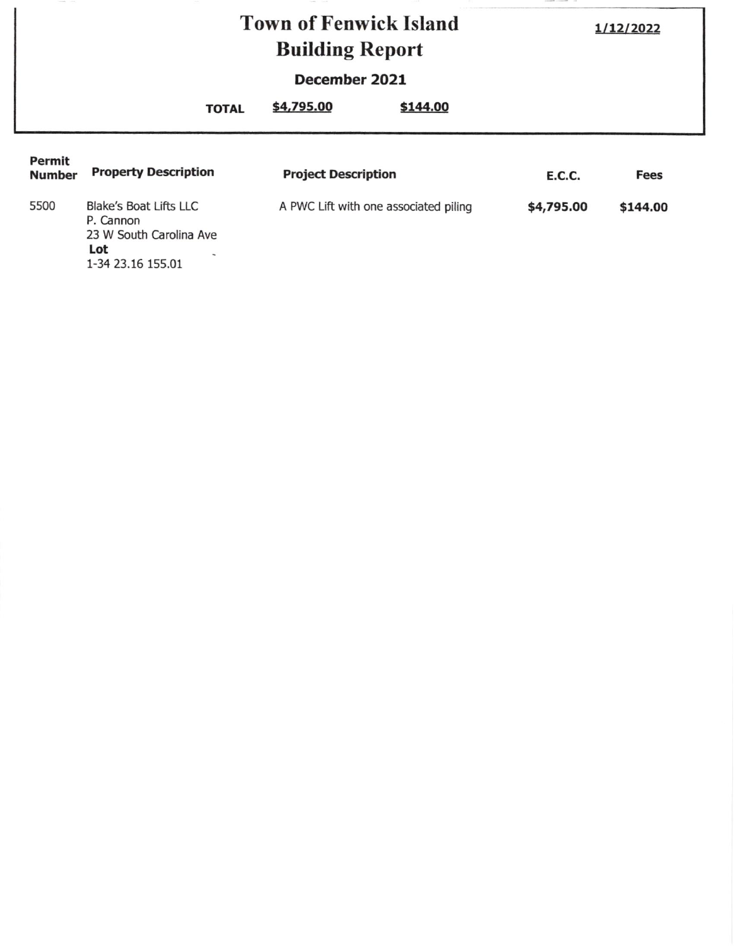|                                | <b>Town of Fenwick Island</b><br><b>Building Report</b>                                           |                            | 1/12/2022                             |               |          |
|--------------------------------|---------------------------------------------------------------------------------------------------|----------------------------|---------------------------------------|---------------|----------|
|                                | December 2021                                                                                     |                            |                                       |               |          |
|                                | <b>TOTAL</b>                                                                                      | \$4,795.00                 | \$144.00                              |               |          |
| <b>Permit</b><br><b>Number</b> | <b>Property Description</b>                                                                       | <b>Project Description</b> |                                       | <b>E.C.C.</b> | Fees     |
| 5500                           | <b>Blake's Boat Lifts LLC</b><br>P. Cannon<br>23 W South Carolina Ave<br>Lot<br>1-34 23.16 155.01 |                            | A PWC Lift with one associated piling | \$4,795.00    | \$144.00 |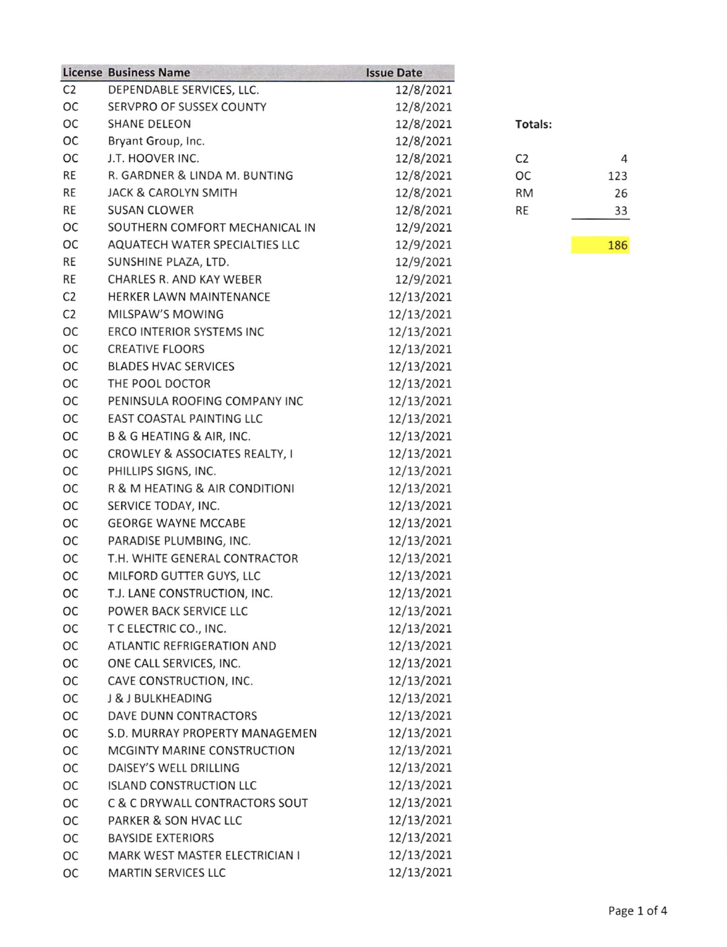|                | <b>License Business Name</b>     | <b>Issue Date</b> |                |
|----------------|----------------------------------|-------------------|----------------|
| C <sub>2</sub> | DEPENDABLE SERVICES, LLC.        | 12/8/2021         |                |
| OC             | SERVPRO OF SUSSEX COUNTY         | 12/8/2021         |                |
| OC             | <b>SHANE DELEON</b>              | 12/8/2021         | Tot            |
| OC             | Bryant Group, Inc.               | 12/8/2021         |                |
| OC             | J.T. HOOVER INC.                 | 12/8/2021         | C <sub>2</sub> |
| RE             | R. GARDNER & LINDA M. BUNTING    | 12/8/2021         | ОC             |
| RE             | <b>JACK &amp; CAROLYN SMITH</b>  | 12/8/2021         | <b>RM</b>      |
| <b>RE</b>      | <b>SUSAN CLOWER</b>              | 12/8/2021         | RE             |
| OC             | SOUTHERN COMFORT MECHANICAL IN   | 12/9/2021         |                |
| OC             | AQUATECH WATER SPECIALTIES LLC   | 12/9/2021         |                |
| RE             | SUNSHINE PLAZA, LTD.             | 12/9/2021         |                |
| <b>RE</b>      | <b>CHARLES R. AND KAY WEBER</b>  | 12/9/2021         |                |
| C <sub>2</sub> | HERKER LAWN MAINTENANCE          | 12/13/2021        |                |
| C <sub>2</sub> | MILSPAW'S MOWING                 | 12/13/2021        |                |
| OC             | <b>ERCO INTERIOR SYSTEMS INC</b> | 12/13/2021        |                |
| OC             | <b>CREATIVE FLOORS</b>           | 12/13/2021        |                |
| OC             | <b>BLADES HVAC SERVICES</b>      | 12/13/2021        |                |
| OC             | THE POOL DOCTOR                  | 12/13/2021        |                |
| OC             | PENINSULA ROOFING COMPANY INC    | 12/13/2021        |                |
| OC             | EAST COASTAL PAINTING LLC        | 12/13/2021        |                |
| ОС             | B & G HEATING & AIR, INC.        | 12/13/2021        |                |
| OC             | CROWLEY & ASSOCIATES REALTY, I   | 12/13/2021        |                |
| OC             | PHILLIPS SIGNS, INC.             | 12/13/2021        |                |
| OC             | R & M HEATING & AIR CONDITIONI   | 12/13/2021        |                |
| OC             | SERVICE TODAY, INC.              | 12/13/2021        |                |
| OC             | <b>GEORGE WAYNE MCCABE</b>       | 12/13/2021        |                |
| OC             | PARADISE PLUMBING, INC.          | 12/13/2021        |                |
| OC             | T.H. WHITE GENERAL CONTRACTOR    | 12/13/2021        |                |
| OC             | MILFORD GUTTER GUYS, LLC         | 12/13/2021        |                |
| OC             | T.J. LANE CONSTRUCTION, INC.     | 12/13/2021        |                |
| ОС             | POWER BACK SERVICE LLC           | 12/13/2021        |                |
| OC             | T C ELECTRIC CO., INC.           | 12/13/2021        |                |
| ОC             | ATLANTIC REFRIGERATION AND       | 12/13/2021        |                |
| ОC             | ONE CALL SERVICES, INC.          | 12/13/2021        |                |
| ОС             | CAVE CONSTRUCTION, INC.          | 12/13/2021        |                |
| OC             | J & J BULKHEADING                | 12/13/2021        |                |
| OC             | <b>DAVE DUNN CONTRACTORS</b>     | 12/13/2021        |                |
| ОC             | S.D. MURRAY PROPERTY MANAGEMEN   | 12/13/2021        |                |
| OC             | MCGINTY MARINE CONSTRUCTION      | 12/13/2021        |                |
| ОC             | DAISEY'S WELL DRILLING           | 12/13/2021        |                |
| OC             | <b>ISLAND CONSTRUCTION LLC</b>   | 12/13/2021        |                |
| OC             | C & C DRYWALL CONTRACTORS SOUT   | 12/13/2021        |                |
| OC             | PARKER & SON HVAC LLC            | 12/13/2021        |                |
| OC             | <b>BAYSIDE EXTERIORS</b>         | 12/13/2021        |                |
| OC             | MARK WEST MASTER ELECTRICIAN I   | 12/13/2021        |                |
| OC             | <b>MARTIN SERVICES LLC</b>       | 12/13/2021        |                |

| tals:                |     |
|----------------------|-----|
| ŗ                    | 4   |
| $\ddot{\phantom{0}}$ | 123 |
| Λ                    | 26  |
| $\vdots$             | 33  |
|                      |     |

186